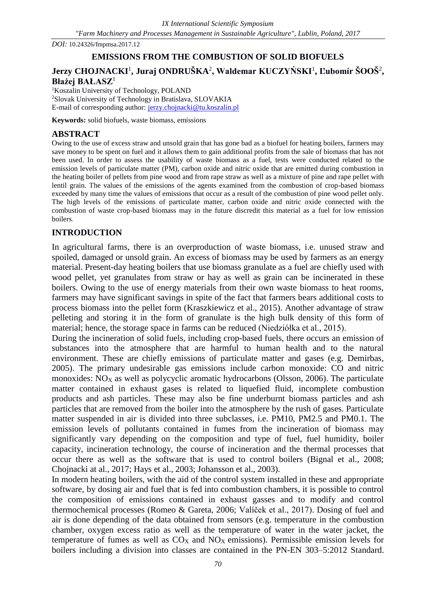*DOI:* 10.24326/fmpmsa.2017.12

# **EMISSIONS FROM THE COMBUSTION OF SOLID BIOFUELS**

# $J$ erzy CHOJNACKI<sup>1</sup>, Juraj ONDRUŠKA<sup>2</sup>, Waldemar KUCZYŃSKI<sup>1</sup>, Ľubomír ŠOOŠ<sup>2</sup>, **Błażej BAŁASZ**<sup>1</sup>

<sup>1</sup>Koszalin University of Technology, POLAND <sup>2</sup>Slovak University of Technology in Bratislava, SLOVAKIA E-mail of corresponding author: [jerzy.chojnacki@tu.koszalin.pl](mailto:jerzy.chojnacki@tu.koszalin.pl)

**Keywords:** solid biofuels, waste biomass, emissions

# **ABSTRACT**

Owing to the use of excess straw and unsold grain that has gone bad as a biofuel for heating boilers, farmers may save money to be spent on fuel and it allows them to gain additional profits from the sale of biomass that has not been used. In order to assess the usability of waste biomass as a fuel, tests were conducted related to the emission levels of particulate matter (PM), carbon oxide and nitric oxide that are emitted during combustion in the heating boiler of pellets from pine wood and from rape straw as well as a mixture of pine and rape pellet with lentil grain. The values of the emissions of the agents examined from the combustion of crop-based biomass exceeded by many time the values of emissions that occur as a result of the combustion of pine wood pellet only. The high levels of the emissions of particulate matter, carbon oxide and nitric oxide connected with the combustion of waste crop-based biomass may in the future discredit this material as a fuel for low emission boilers.

## **INTRODUCTION**

In agricultural farms, there is an overproduction of waste biomass, i.e. unused straw and spoiled, damaged or unsold grain. An excess of biomass may be used by farmers as an energy material. Present-day heating boilers that use biomass granulate as a fuel are chiefly used with wood pellet, yet granulates from straw or hay as well as grain can be incinerated in these boilers. Owing to the use of energy materials from their own waste biomass to heat rooms, farmers may have significant savings in spite of the fact that farmers bears additional costs to process biomass into the pellet form (Kraszkiewicz et al., 2015). Another advantage of straw pelleting and storing it in the form of granulate is the high bulk density of this form of material; hence, the storage space in farms can be reduced (Niedziółka et al., 2015).

During the incineration of solid fuels, including crop-based fuels, there occurs an emission of substances into the atmosphere that are harmful to human health and to the natural environment. These are chiefly emissions of particulate matter and gases (e.g. Demirbas, 2005). The primary undesirable gas emissions include carbon monoxide: CO and nitric monoxides:  $NO<sub>X</sub>$  as well as polycyclic aromatic hydrocarbons (Olsson, 2006). The particulate matter contained in exhaust gases is related to liquefied fluid, incomplete combustion products and ash particles. These may also be fine underburnt biomass particles and ash particles that are removed from the boiler into the atmosphere by the rush of gases. Particulate matter suspended in air is divided into three subclasses, i.e. PM10, PM2.5 and PM0.1. The emission levels of pollutants contained in fumes from the incineration of biomass may significantly vary depending on the composition and type of fuel, fuel humidity, boiler capacity, incineration technology, the course of incineration and the thermal processes that occur there as well as the software that is used to control boilers (Bignal et al., 2008; Chojnacki at al., 2017; Hays et al., 2003; Johansson et al., 2003).

In modern heating boilers, with the aid of the control system installed in these and appropriate software, by dosing air and fuel that is fed into combustion chambers, it is possible to control the composition of emissions contained in exhaust gasses and to modify and control thermochemical processes (Romeo & Gareta, 2006; Valíček et al., 2017). Dosing of fuel and air is done depending of the data obtained from sensors (e.g. temperature in the combustion chamber, oxygen excess ratio as well as the temperature of water in the water jacket, the temperature of fumes as well as  $CO<sub>X</sub>$  and  $NO<sub>X</sub>$  emissions). Permissible emission levels for boilers including a division into classes are contained in the PN-EN 303–5:2012 Standard.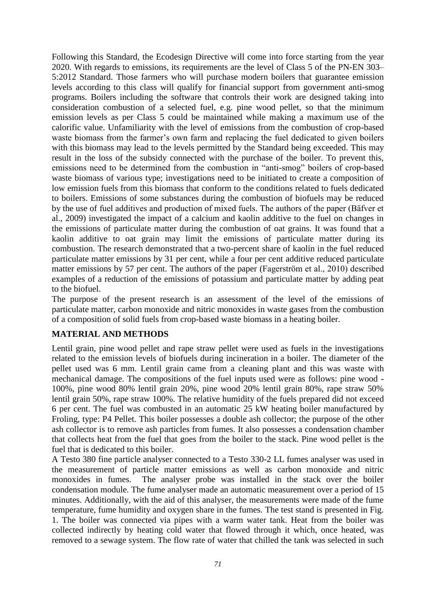Following this Standard, the Ecodesign Directive will come into force starting from the year 2020. With regards to emissions, its requirements are the level of Class 5 of the PN-EN 303– 5:2012 Standard. Those farmers who will purchase modern boilers that guarantee emission levels according to this class will qualify for financial support from government anti-smog programs. Boilers including the software that controls their work are designed taking into consideration combustion of a selected fuel, e.g. pine wood pellet, so that the minimum emission levels as per Class 5 could be maintained while making a maximum use of the calorific value. Unfamiliarity with the level of emissions from the combustion of crop-based waste biomass from the farmer's own farm and replacing the fuel dedicated to given boilers with this biomass may lead to the levels permitted by the Standard being exceeded. This may result in the loss of the subsidy connected with the purchase of the boiler. To prevent this, emissions need to be determined from the combustion in "anti-smog" boilers of crop-based waste biomass of various type; investigations need to be initiated to create a composition of low emission fuels from this biomass that conform to the conditions related to fuels dedicated to boilers. Emissions of some substances during the combustion of biofuels may be reduced by the use of fuel additives and production of mixed fuels. The authors of the paper (Bäfver et al., 2009) investigated the impact of a calcium and kaolin additive to the fuel on changes in the emissions of particulate matter during the combustion of oat grains. It was found that a kaolin additive to oat grain may limit the emissions of particulate matter during its combustion. The research demonstrated that a two-percent share of kaolin in the fuel reduced particulate matter emissions by 31 per cent, while a four per cent additive reduced particulate matter emissions by 57 per cent. The authors of the paper (Fagerström et al., 2010) described examples of a reduction of the emissions of potassium and particulate matter by adding peat to the biofuel.

The purpose of the present research is an assessment of the level of the emissions of particulate matter, carbon monoxide and nitric monoxides in waste gases from the combustion of a composition of solid fuels from crop-based waste biomass in a heating boiler.

### **MATERIAL AND METHODS**

Lentil grain, pine wood pellet and rape straw pellet were used as fuels in the investigations related to the emission levels of biofuels during incineration in a boiler. The diameter of the pellet used was 6 mm. Lentil grain came from a cleaning plant and this was waste with mechanical damage. The compositions of the fuel inputs used were as follows: pine wood - 100%, pine wood 80% lentil grain 20%, pine wood 20% lentil grain 80%, rape straw 50% lentil grain 50%, rape straw 100%. The relative humidity of the fuels prepared did not exceed 6 per cent. The fuel was combusted in an automatic 25 kW heating boiler manufactured by Froling, type: P4 Pellet. This boiler possesses a double ash collector; the purpose of the other ash collector is to remove ash particles from fumes. It also possesses a condensation chamber that collects heat from the fuel that goes from the boiler to the stack. Pine wood pellet is the fuel that is dedicated to this boiler.

A Testo 380 fine particle analyser connected to a Testo 330-2 LL fumes analyser was used in the measurement of particle matter emissions as well as carbon monoxide and nitric monoxides in fumes. The analyser probe was installed in the stack over the boiler condensation module. The fume analyser made an automatic measurement over a period of 15 minutes. Additionally, with the aid of this analyser, the measurements were made of the fume temperature, fume humidity and oxygen share in the fumes. The test stand is presented in Fig. 1. The boiler was connected via pipes with a warm water tank. Heat from the boiler was collected indirectly by heating cold water that flowed through it which, once heated, was removed to a sewage system. The flow rate of water that chilled the tank was selected in such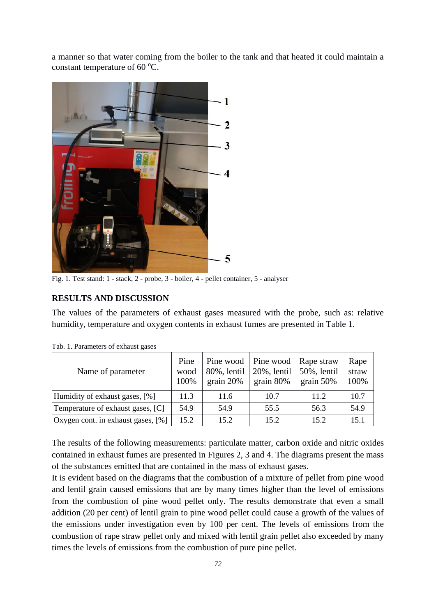a manner so that water coming from the boiler to the tank and that heated it could maintain a constant temperature of 60  $^{\circ}$ C.



Fig. 1. Test stand: 1 - stack, 2 - probe, 3 - boiler, 4 - pellet container, 5 - analyser

#### **RESULTS AND DISCUSSION**

The values of the parameters of exhaust gases measured with the probe, such as: relative humidity, temperature and oxygen contents in exhaust fumes are presented in Table 1.

| Name of parameter                  | Pine<br>wood<br>100% | Pine wood<br>80%, lentil<br>grain $20%$ | Pine wood<br>20%, lentil<br>grain $80\%$ | Rape straw<br>50%, lentil<br>grain $50\%$ | Rape<br>straw<br>100% |
|------------------------------------|----------------------|-----------------------------------------|------------------------------------------|-------------------------------------------|-----------------------|
| Humidity of exhaust gases, [%]     | 11.3                 | 11.6                                    | 10.7                                     | 11.2                                      | 10.7                  |
| Temperature of exhaust gases, [C]  | 54.9                 | 54.9                                    | 55.5                                     | 56.3                                      | 54.9                  |
| Oxygen cont. in exhaust gases, [%] | 15.2                 | 15.2                                    | 15.2                                     | 15.2                                      | 15.1                  |

Tab. 1. Parameters of exhaust gases

The results of the following measurements: particulate matter, carbon oxide and nitric oxides contained in exhaust fumes are presented in Figures 2, 3 and 4. The diagrams present the mass of the substances emitted that are contained in the mass of exhaust gases.

It is evident based on the diagrams that the combustion of a mixture of pellet from pine wood and lentil grain caused emissions that are by many times higher than the level of emissions from the combustion of pine wood pellet only. The results demonstrate that even a small addition (20 per cent) of lentil grain to pine wood pellet could cause a growth of the values of the emissions under investigation even by 100 per cent. The levels of emissions from the combustion of rape straw pellet only and mixed with lentil grain pellet also exceeded by many times the levels of emissions from the combustion of pure pine pellet.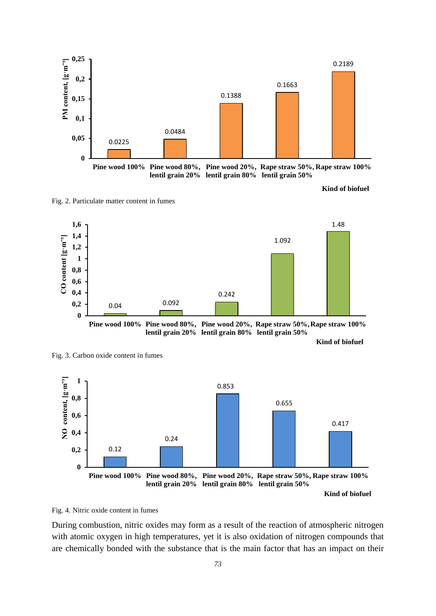

**Kind of biofuel**

Fig. 2. Particulate matter content in fumes



**lentil grain 20% lentil grain 80% lentil grain 50%**

**Kind of biofuel**



Fig. 4. Nitric oxide content in fumes

Fig. 3. Carbon oxide content in fumes

During combustion, nitric oxides may form as a result of the reaction of atmospheric nitrogen with atomic oxygen in high temperatures, yet it is also oxidation of nitrogen compounds that are chemically bonded with the substance that is the main factor that has an impact on their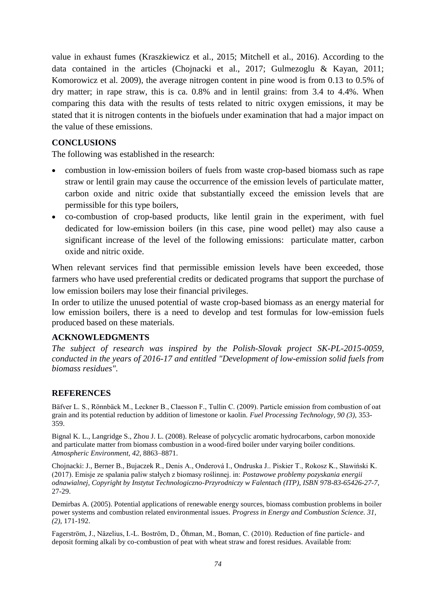value in exhaust fumes (Kraszkiewicz et al., 2015; Mitchell et al., 2016). According to the data contained in the articles (Chojnacki et al., 2017; Gulmezoglu & Kayan, 2011; Komorowicz et al. 2009), the average nitrogen content in pine wood is from 0.13 to 0.5% of dry matter; in rape straw, this is ca. 0.8% and in lentil grains: from 3.4 to 4.4%. When comparing this data with the results of tests related to nitric oxygen emissions, it may be stated that it is nitrogen contents in the biofuels under examination that had a major impact on the value of these emissions.

## **CONCLUSIONS**

The following was established in the research:

- combustion in low-emission boilers of fuels from waste crop-based biomass such as rape straw or lentil grain may cause the occurrence of the emission levels of particulate matter, carbon oxide and nitric oxide that substantially exceed the emission levels that are permissible for this type boilers,
- co-combustion of crop-based products, like lentil grain in the experiment, with fuel dedicated for low-emission boilers (in this case, pine wood pellet) may also cause a significant increase of the level of the following emissions: particulate matter, carbon oxide and nitric oxide.

When relevant services find that permissible emission levels have been exceeded, those farmers who have used preferential credits or dedicated programs that support the purchase of low emission boilers may lose their financial privileges.

In order to utilize the unused potential of waste crop-based biomass as an energy material for low emission boilers, there is a need to develop and test formulas for low-emission fuels produced based on these materials.

#### **ACKNOWLEDGMENTS**

*The subject of research was inspired by the Polish-Slovak project SK-PL-2015-0059, conducted in the years of 2016-17 and entitled "Development of low-emission solid fuels from biomass residues".*

#### **REFERENCES**

Bäfver L. S., Rönnbäck M., Leckner B., Claesson F., Tullin C. (2009). Particle emission from combustion of oat grain and its potential reduction by addition of limestone or kaolin. *Fuel Processing Technology, 90 (3),* 353- 359.

Bignal K. L., Langridge S., Zhou J. L. (2008). Release of polycyclic aromatic hydrocarbons, carbon monoxide and particulate matter from biomass combustion in a wood-fired boiler under varying boiler conditions. *Atmospheric Environment, 42,* 8863–8871.

Chojnacki: J., Berner B., Bujaczek R., Denis A., Onderová I., Ondruska J.. Piskier T., Rokosz K., Sławiński K. (2017). Emisje ze spalania paliw stałych z biomasy roślinnej. in: *Postawowe problemy pozyskania energii odnawialnej, Copyright by Instytut Technologiczno-Przyrodniczy w Falentach (ITP), ISBN 978-83-65426-27-7,*  27-29.

Demirbas A. (2005). Potential applications of renewable energy sources, biomass combustion problems in boiler power systems and combustion related environmental issues. *Progress in Energy and Combustion Science. 31, (2),* 171-192.

Fagerström, J., Näzelius, I.-L. Boström, D., Öhman, M., Boman, C. (2010). Reduction of fine particle- and deposit forming alkali by co-combustion of peat with wheat straw and forest residues. Available from: